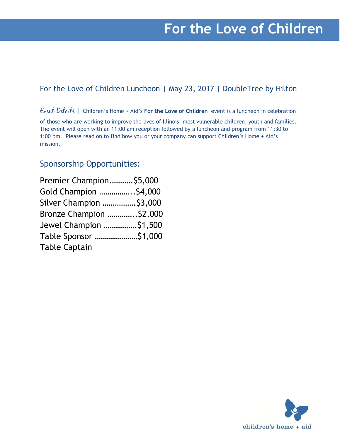# **For the Love of Children**

## For the Love of Children Luncheon | May 23, 2017 | DoubleTree by Hilton

Event Details | Children's Home + Aid's **For the Love of Children** event is a luncheon in celebration

of those who are working to improve the lives of Illinois' most vulnerable children, youth and families. The event will open with an 11:00 am reception followed by a luncheon and program from 11:30 to 1:00 pm. Please read on to find how you or your company can support Children's Home + Aid's mission.

## Sponsorship Opportunities:

| Premier Champion \$5,000 |  |
|--------------------------|--|
| Gold Champion  \$4,000   |  |
| Silver Champion  \$3,000 |  |
| Bronze Champion  \$2,000 |  |
| Jewel Champion  \$1,500  |  |
| Table Sponsor \$1,000    |  |
| <b>Table Captain</b>     |  |

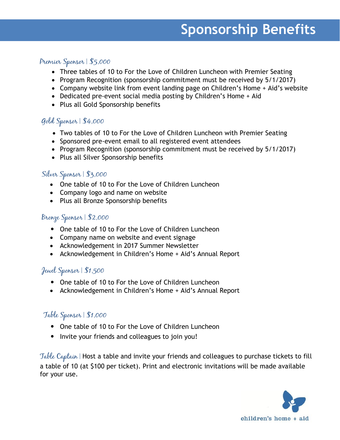# **Sponsorship Benefits**

### Premier Sponsor | \$5,000

- · Three tables of 10 to For the Love of Children Luncheon with Premier Seating
- · Program Recognition (sponsorship commitment must be received by 5/1/2017)
- · Company website link from event landing page on Children's Home + Aid's website
- · Dedicated pre-event social media posting by Children's Home + Aid
- · Plus all Gold Sponsorship benefits

## Gold Sponsor | \$4,000

- · Two tables of 10 to For the Love of Children Luncheon with Premier Seating
- · Sponsored pre-event email to all registered event attendees
- · Program Recognition (sponsorship commitment must be received by 5/1/2017)
- · Plus all Silver Sponsorship benefits

### Silver Sponsor | \$3,000

- · One table of 10 to For the Love of Children Luncheon
- · Company logo and name on website
- · Plus all Bronze Sponsorship benefits

#### Bronze Sponsor | \$2,000

- One table of 10 to For the Love of Children Luncheon
- · Company name on website and event signage
- · Acknowledgement in 2017 Summer Newsletter
- · Acknowledgement in Children's Home + Aid's Annual Report

### Jewel Sponsor | \$1,500

- One table of 10 to For the Love of Children Luncheon
- · Acknowledgement in Children's Home + Aid's Annual Report

### Table Sponsor | \$1,000

- One table of 10 to For the Love of Children Luncheon
- Invite your friends and colleagues to join you!

Table Captain | Host a table and invite your friends and colleagues to purchase tickets to fill a table of 10 (at \$100 per ticket). Print and electronic invitations will be made available for your use.